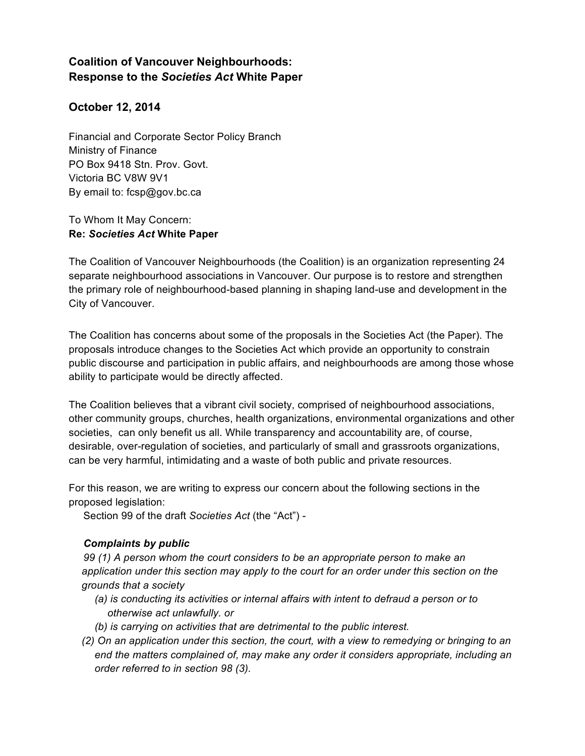## **Coalition of Vancouver Neighbourhoods: Response to the** *Societies Act* **White Paper**

## **October 12, 2014**

Financial and Corporate Sector Policy Branch Ministry of Finance PO Box 9418 Stn. Prov. Govt. Victoria BC V8W 9V1 By email to: fcsp@gov.bc.ca

To Whom It May Concern: **Re:** *Societies Act* **White Paper** 

The Coalition of Vancouver Neighbourhoods (the Coalition) is an organization representing 24 separate neighbourhood associations in Vancouver. Our purpose is to restore and strengthen the primary role of neighbourhood-based planning in shaping land-use and development in the City of Vancouver.

The Coalition has concerns about some of the proposals in the Societies Act (the Paper). The proposals introduce changes to the Societies Act which provide an opportunity to constrain public discourse and participation in public affairs, and neighbourhoods are among those whose ability to participate would be directly affected.

The Coalition believes that a vibrant civil society, comprised of neighbourhood associations, other community groups, churches, health organizations, environmental organizations and other societies, can only benefit us all. While transparency and accountability are, of course, desirable, over-regulation of societies, and particularly of small and grassroots organizations, can be very harmful, intimidating and a waste of both public and private resources.

For this reason, we are writing to express our concern about the following sections in the proposed legislation:

Section 99 of the draft *Societies Act* (the "Act") -

## *Complaints by public*

 *99 (1) A person whom the court considers to be an appropriate person to make an application under this section may apply to the court for an order under this section on the grounds that a society* 

- *(a) is conducting its activities or internal affairs with intent to defraud a person or to otherwise act unlawfully. or*
- *(b) is carrying on activities that are detrimental to the public interest.*
- *(2) On an application under this section, the court, with a view to remedying or bringing to an end the matters complained of, may make any order it considers appropriate, including an order referred to in section 98 (3).*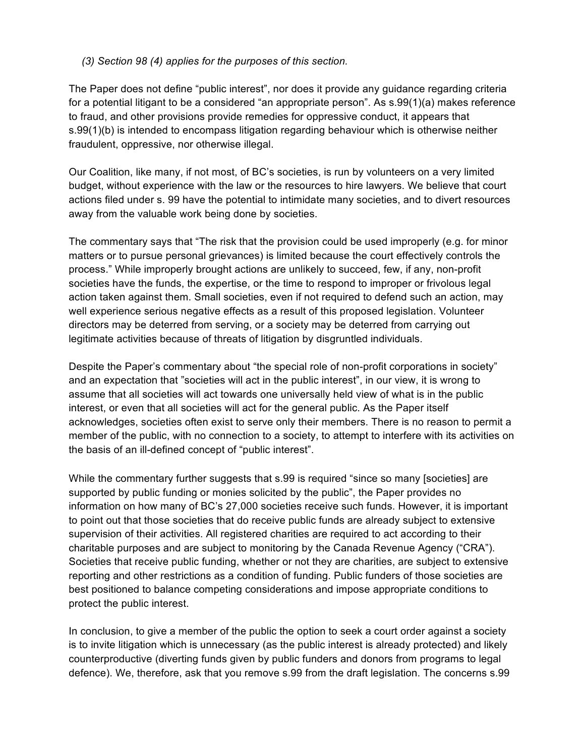## *(3) Section 98 (4) applies for the purposes of this section.*

The Paper does not define "public interest", nor does it provide any guidance regarding criteria for a potential litigant to be a considered "an appropriate person". As s.99(1)(a) makes reference to fraud, and other provisions provide remedies for oppressive conduct, it appears that s.99(1)(b) is intended to encompass litigation regarding behaviour which is otherwise neither fraudulent, oppressive, nor otherwise illegal.

Our Coalition, like many, if not most, of BC's societies, is run by volunteers on a very limited budget, without experience with the law or the resources to hire lawyers. We believe that court actions filed under s. 99 have the potential to intimidate many societies, and to divert resources away from the valuable work being done by societies.

The commentary says that "The risk that the provision could be used improperly (e.g. for minor matters or to pursue personal grievances) is limited because the court effectively controls the process." While improperly brought actions are unlikely to succeed, few, if any, non-profit societies have the funds, the expertise, or the time to respond to improper or frivolous legal action taken against them. Small societies, even if not required to defend such an action, may well experience serious negative effects as a result of this proposed legislation. Volunteer directors may be deterred from serving, or a society may be deterred from carrying out legitimate activities because of threats of litigation by disgruntled individuals.

Despite the Paper's commentary about "the special role of non-profit corporations in society" and an expectation that "societies will act in the public interest", in our view, it is wrong to assume that all societies will act towards one universally held view of what is in the public interest, or even that all societies will act for the general public. As the Paper itself acknowledges, societies often exist to serve only their members. There is no reason to permit a member of the public, with no connection to a society, to attempt to interfere with its activities on the basis of an ill-defined concept of "public interest".

While the commentary further suggests that s.99 is required "since so many [societies] are supported by public funding or monies solicited by the public", the Paper provides no information on how many of BC's 27,000 societies receive such funds. However, it is important to point out that those societies that do receive public funds are already subject to extensive supervision of their activities. All registered charities are required to act according to their charitable purposes and are subject to monitoring by the Canada Revenue Agency ("CRA"). Societies that receive public funding, whether or not they are charities, are subject to extensive reporting and other restrictions as a condition of funding. Public funders of those societies are best positioned to balance competing considerations and impose appropriate conditions to protect the public interest.

In conclusion, to give a member of the public the option to seek a court order against a society is to invite litigation which is unnecessary (as the public interest is already protected) and likely counterproductive (diverting funds given by public funders and donors from programs to legal defence). We, therefore, ask that you remove s.99 from the draft legislation. The concerns s.99